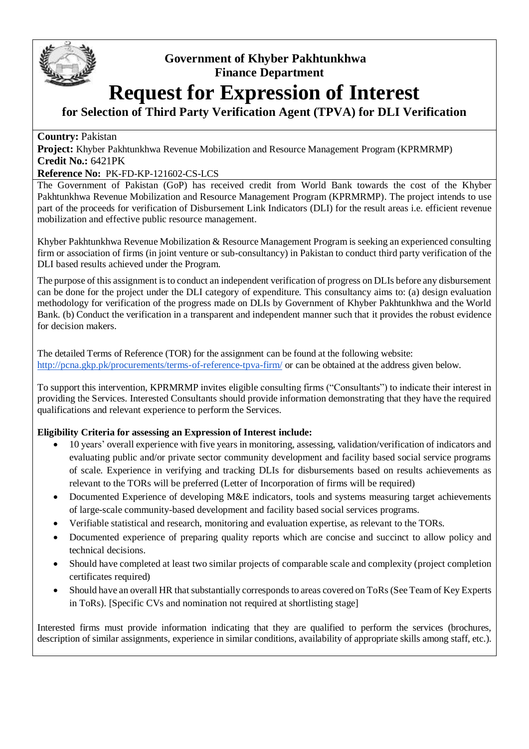

## **Government of Khyber Pakhtunkhwa Finance Department**

# **Request for Expression of Interest**

### **for Selection of Third Party Verification Agent (TPVA) for DLI Verification**

#### **Country:** Pakistan

**Project:** Khyber Pakhtunkhwa Revenue Mobilization and Resource Management Program (KPRMRMP) **Credit No.:** 6421PK

#### **Reference No:** PK-FD-KP-121602-CS-LCS

The Government of Pakistan (GoP) has received credit from World Bank towards the cost of the Khyber Pakhtunkhwa Revenue Mobilization and Resource Management Program (KPRMRMP). The project intends to use part of the proceeds for verification of Disbursement Link Indicators (DLI) for the result areas i.e. efficient revenue mobilization and effective public resource management.

Khyber Pakhtunkhwa Revenue Mobilization & Resource Management Program is seeking an experienced consulting firm or association of firms (in joint venture or sub-consultancy) in Pakistan to conduct third party verification of the DLI based results achieved under the Program.

The purpose of this assignment is to conduct an independent verification of progress on DLIs before any disbursement can be done for the project under the DLI category of expenditure. This consultancy aims to: (a) design evaluation methodology for verification of the progress made on DLIs by Government of Khyber Pakhtunkhwa and the World Bank. (b) Conduct the verification in a transparent and independent manner such that it provides the robust evidence for decision makers.

The detailed Terms of Reference (TOR) for the assignment can be found at the following website: <http://pcna.gkp.pk/procurements/terms-of-reference-tpva-firm/> or can be obtained at the address given below*.*

To support this intervention, KPRMRMP invites eligible consulting firms ("Consultants") to indicate their interest in providing the Services. Interested Consultants should provide information demonstrating that they have the required qualifications and relevant experience to perform the Services.

#### **Eligibility Criteria for assessing an Expression of Interest include:**

- 10 years' overall experience with five years in monitoring, assessing, validation/verification of indicators and evaluating public and/or private sector community development and facility based social service programs of scale. Experience in verifying and tracking DLIs for disbursements based on results achievements as relevant to the TORs will be preferred (Letter of Incorporation of firms will be required)
- Documented Experience of developing M&E indicators, tools and systems measuring target achievements of large-scale community-based development and facility based social services programs.
- Verifiable statistical and research, monitoring and evaluation expertise, as relevant to the TORs.
- Documented experience of preparing quality reports which are concise and succinct to allow policy and technical decisions.
- Should have completed at least two similar projects of comparable scale and complexity (project completion certificates required)
- Should have an overall HR that substantially corresponds to areas covered on ToRs (See Team of Key Experts in ToRs). [Specific CVs and nomination not required at shortlisting stage]

Interested firms must provide information indicating that they are qualified to perform the services (brochures, description of similar assignments, experience in similar conditions, availability of appropriate skills among staff, etc.).